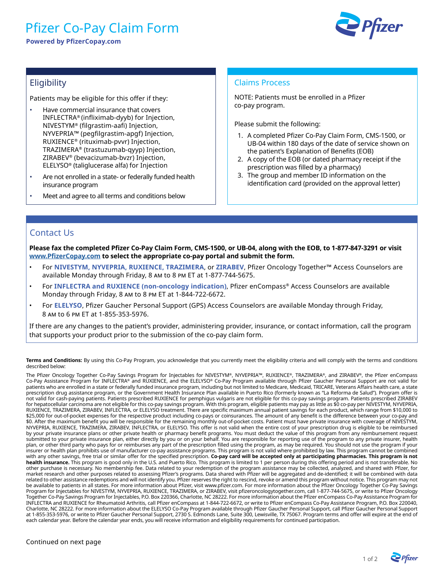# Pfizer Co-Pay Claim Form

**Powered by PfizerCopay.com**



## **Eligibility**

Patients may be eligible for this offer if they:

- Have commercial insurance that covers INFLECTRA® (infliximab-dyyb) for Injection, NIVESTYM® (filgrastim-aafi) Injection, NYVEPRIA™ (pegfilgrastim-apgf) Injection, RUXIENCE® (rituximab-pvvr) Injection, TRAZIMERA® (trastuzumab-qyyp) Injection, ZIRABEV® (bevacizumab-bvzr) Injection, ELELYSO® (taliglucerase alfa) for Injection
- Are not enrolled in a state- or federally funded health insurance program
- Meet and agree to all terms and conditions below

#### Claims Process

NOTE: Patients must be enrolled in a Pfizer co-pay program.

Please submit the following:

- 1. A completed Pfizer Co-Pay Claim Form, CMS-1500, or UB-04 within 180 days of the date of service shown on the patient's Explanation of Benefits (EOB)
- 2. A copy of the EOB (or dated pharmacy receipt if the prescription was filled by a pharmacy)
- 3. The group and member ID information on the identification card (provided on the approval letter)

### Contact Us

**Please fax the completed Pfizer Co-Pay Claim Form, CMS-1500, or UB-04, along with the EOB, to 1-877-847-3291 or visit [www.PfizerCopay.com](http://www.PfizerCopay.com) to select the appropriate co-pay portal and submit the form.**

- For **NIVESTYM, NYVEPRIA, RUXIENCE, TRAZIMERA**, or **ZIRABEV**, Pfizer Oncology Together™ Access Counselors are available Monday through Friday, 8 am to 8 pm ET at 1-877-744-5675.
- For **INFLECTRA and RUXIENCE (non-oncology indication)**, Pfizer enCompass® Access Counselors are available Monday through Friday, 8 am to 8 pm ET at 1-844-722-6672.
- For **ELELYSO**, Pfizer Gaucher Personal Support (GPS) Access Counselors are available Monday through Friday, 8 am to 6 pm ET at 1-855-353-5976.

If there are any changes to the patient's provider, administering provider, insurance, or contact information, call the program that supports your product prior to the submission of the co-pay claim form.

**Terms and Conditions:** By using this Co-Pay Program, you acknowledge that you currently meet the eligibility criteria and will comply with the terms and conditions described below:

The Pfizer Oncology Together Co-Pay Savings Program for Injectables for NIVESTYM®, NYVEPRIA™, RUXIENCE®, TRAZIMERA®, and ZIRABEV®, the Pfizer enCompass Co-Pay Assistance Program for INFLECTRA® and RUXIENCE, and the ELELYSO® Co-Pay Program available through Pfizer Gaucher Personal Support are not valid for patients who are enrolled in a state or federally funded insurance program, including but not limited to Medicare, Medicaid, TRICARE, Veterans Affairs health care, a state prescription drug assistance program, or the Government Health Insurance Plan available in Puerto Rico (formerly known as "La Reforma de Salud"). Program offer is not valid for cash-paying patients. Patients prescribed RUXIENCE for pemphigus vulgaris are not eligible for this co-pay savings program. Patients prescribed ZIRABEV for hepatocellular carcinoma are not eligible for this co-pay savings program. With this program, eligible patients may pay as little as \$0 co-pay per NIVESTYM, NYVEPRIA, RUXIENCE, TRAZIMERA, ZIRABEV, INFLECTRA, or ELELYSO treatment. There are specific maximum annual patient savings for each product, which range from \$10,000 to \$25,000 for out-of-pocket expenses for the respective product including co-pays or coinsurances. The amount of any benefit is the difference between your co-pay and \$0. After the maximum benefit you will be responsible for the remaining monthly out-of-pocket costs. Patient must have private insurance with coverage of NIVESTYM, NYVEPRIA, RUXIENCE, TRAZIMERA, ZIRABEV, INFLECTRA, or ELELYSO. This offer is not valid when the entire cost of your prescription drug is eligible to be reimbursed by your private insurance plans or other private health or pharmacy benefit programs. You must deduct the value of this program from any reimbursement request submitted to your private insurance plan, either directly by you or on your behalf. You are responsible for reporting use of the program to any private insurer, health plan, or other third party who pays for or reimburses any part of the prescription filled using the program, as may be required. You should not use the program if your insurer or health plan prohibits use of manufacturer co-pay assistance programs. This program is not valid where prohibited by law. This program cannot be combined with any other savings, free trial or similar offer for the specified prescription. **Co-pay card will be accepted only at participating pharmacies. This program is not health insurance.** This program is good only in the U.S. and Puerto Rico. This program is limited to 1 per person during this offering period and is not transferable. No other purchase is necessary. No membership fee. Data related to your redemption of the program assistance may be collected, analyzed, and shared with Pfizer, for market research and other purposes related to assessing Pfizer's programs. Data shared with Pfizer will be aggregated and de-identified; it will be combined with data related to other assistance redemptions and will not identify you. Pfizer reserves the right to rescind, revoke or amend this program without notice. This program may not be available to patients in all states. For more information about Pfizer, visit www.pfizer.com. For more information about the Pfizer Oncology Together Co-Pay Savings Program for Injectables for NIVESTYM, NYVEPRIA, RUXIENCE, TRAZIMERA, or ZIRABEV, visit pfizeroncologytogether.com, call 1-877-744-5675, or write to Pfizer Oncology Together Co-Pay Savings Program for Injectables, P.O. Box 220366, Charlotte, NC 28222. For more information about the Pfizer enCompass Co-Pay Assistance Program for INFLECTRA and RUXIENCE for Rheumatoid Arthritis, call Pfizer enCompass at 1-844-722-6672, or write to Pfizer enCompass Co-Pay Assistance Program, P.O. Box 220040, Charlotte, NC 28222. For more information about the ELELYSO Co-Pay Program available through Pfizer Gaucher Personal Support, call Pfizer Gaucher Personal Support at 1-855-353-5976, or write to Pfizer Gaucher Personal Support, 2730 S. Edmonds Lane, Suite 300, Lewisville, TX 75067. Program terms and offer will expire at the end of each calendar year. Before the calendar year ends, you will receive information and eligibility requirements for continued participation.